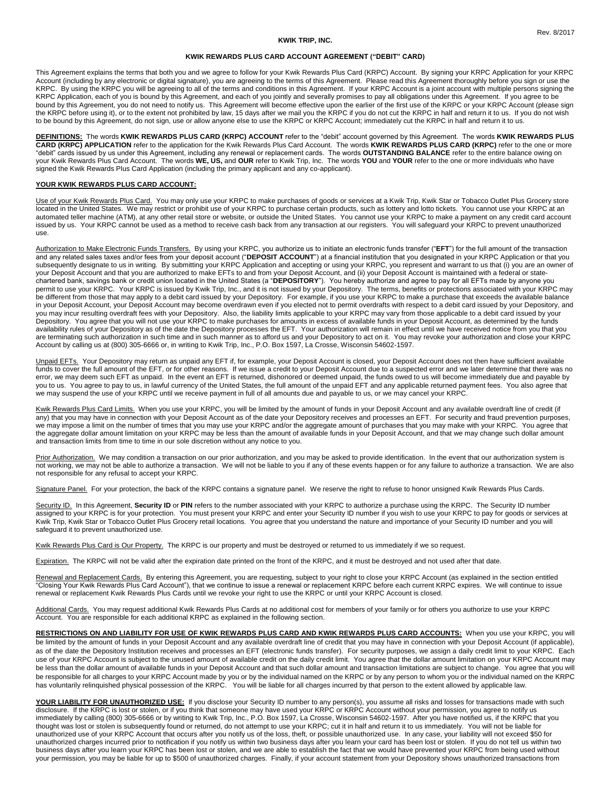## **KWIK TRIP, INC.**

## **KWIK REWARDS PLUS CARD ACCOUNT AGREEMENT ("DEBIT" CARD)**

This Agreement explains the terms that both you and we agree to follow for your Kwik Rewards Plus Card (KRPC) Account. By signing your KRPC Application for your KRPC Account (including by any electronic or digital signature), you are agreeing to the terms of this Agreement. Please read this Agreement thoroughly before you sign or use the KRPC. By using the KRPC you will be agreeing to all of the terms and conditions in this Agreement. If your KRPC Account is a joint account with multiple persons signing the KRPC Application, each of you is bound by this Agreement, and each of you jointly and severally promises to pay all obligations under this Agreement. If you agree to be bound by this Agreement, you do not need to notify us. This Agreement will become effective upon the earlier of the first use of the KRPC or your KRPC Account (please sign the KRPC before using it), or to the extent not prohibited by law, 15 days after we mail you the KRPC if you do not cut the KRPC in half and return it to us. If you do not wish to be bound by this Agreement, do not sign, use or allow anyone else to use the KRPC or KRPC Account; immediately cut the KRPC in half and return it to us.

**DEFINITIONS:** The words **KWIK REWARDS PLUS CARD (KRPC) ACCOUNT** refer to the "debit" account governed by this Agreement. The words **KWIK REWARDS PLUS CARD (KRPC) APPLICATION** refer to the application for the Kwik Rewards Plus Card Account. The words **KWIK REWARDS PLUS CARD (KRPC)** refer to the one or more "debit" cards issued by us under this Agreement, including any renewal or replacement cards. The words **OUTSTANDING BALANCE** refer to the entire balance owing on your Kwik Rewards Plus Card Account. The words **WE, US,** and **OUR** refer to Kwik Trip, Inc. The words **YOU** and **YOUR** refer to the one or more individuals who have signed the Kwik Rewards Plus Card Application (including the primary applicant and any co-applicant).

# **YOUR KWIK REWARDS PLUS CARD ACCOUNT:**

Use of your Kwik Rewards Plus Card. You may only use your KRPC to make purchases of goods or services at a Kwik Trip, Kwik Star or Tobacco Outlet Plus Grocery store located in the United States. We may restrict or prohibit use of your KRPC to purchase certain products, such as lottery and lotto tickets. You cannot use your KRPC at an automated teller machine (ATM), at any other retail store or website, or outside the United States. You cannot use your KRPC to make a payment on any credit card account issued by us. Your KRPC cannot be used as a method to receive cash back from any transaction at our registers. You will safeguard your KRPC to prevent unauthorized use.

Authorization to Make Electronic Funds Transfers. By using your KRPC, you authorize us to initiate an electronic funds transfer ("**EFT**") for the full amount of the transaction and any related sales taxes and/or fees from your deposit account ("**DEPOSIT ACCOUNT**") at a financial institution that you designated in your KRPC Application or that you subsequently designate to us in writing. By submitting your KRPC Application and accepting or using your KRPC, you represent and warrant to us that (i) you are an owner of your Deposit Account and that you are authorized to make EFTs to and from your Deposit Account, and (ii) your Deposit Account is maintained with a federal or statechartered bank, savings bank or credit union located in the United States (a "**DEPOSITORY**"). You hereby authorize and agree to pay for all EFTs made by anyone you permit to use your KRPC. Your KRPC is issued by Kwik Trip, Inc., and it is not issued by your Depository. The terms, benefits or protections associated with your KRPC may be different from those that may apply to a debit card issued by your Depository. For example, if you use your KRPC to make a purchase that exceeds the available balance in your Deposit Account, your Deposit Account may become overdrawn even if you elected not to permit overdrafts with respect to a debit card issued by your Depository, and you may incur resulting overdraft fees with your Depository. Also, the liability limits applicable to your KRPC may vary from those applicable to a debit card issued by your Depository. You agree that you will not use your KRPC to make purchases for amounts in excess of available funds in your Deposit Account, as determined by the funds availability rules of your Depository as of the date the Depository processes the EFT. Your authorization will remain in effect until we have received notice from you that you are terminating such authorization in such time and in such manner as to afford us and your Depository to act on it. You may revoke your authorization and close your KRPC<br>Account by calling us at (800) 305-6666 or, in wri

Unpaid EFTs. Your Depository may return as unpaid any EFT if, for example, your Deposit Account is closed, your Deposit Account does not then have sufficient available funds to cover the full amount of the EFT, or for other reasons. If we issue a credit to your Deposit Account due to a suspected error and we later determine that there was no error, we may deem such EFT as unpaid. In the event an EFT is returned, dishonored or deemed unpaid, the funds owed to us will become immediately due and payable by you to us. You agree to pay to us, in lawful currency of the United States, the full amount of the unpaid EFT and any applicable returned payment fees. You also agree that we may suspend the use of your KRPC until we receive payment in full of all amounts due and payable to us, or we may cancel your KRPC.

Kwik Rewards Plus Card Limits. When you use your KRPC, you will be limited by the amount of funds in your Deposit Account and any available overdraft line of credit (if any) that you may have in connection with your Deposit Account as of the date your Depository receives and processes an EFT. For security and fraud prevention purposes, we may impose a limit on the number of times that you may use your KRPC and/or the aggregate amount of purchases that you may make with your KRPC. You agree that the aggregate dollar amount limitation on your KRPC may be less than the amount of available funds in your Deposit Account, and that we may change such dollar amount and transaction limits from time to time in our sole discretion without any notice to you.

Prior Authorization. We may condition a transaction on our prior authorization, and you may be asked to provide identification. In the event that our authorization system is not working, we may not be able to authorize a transaction. We will not be liable to you if any of these events happen or for any failure to authorize a transaction. We are also not responsible for any refusal to accept your KRPC.

Signature Panel. For your protection, the back of the KRPC contains a signature panel. We reserve the right to refuse to honor unsigned Kwik Rewards Plus Cards.

Security ID. In this Agreement, Security ID or PIN refers to the number associated with your KRPC to authorize a purchase using the KRPC. The Security ID number assigned to your KRPC is for your protection. You must present your KRPC and enter your Security ID number if you wish to use your KRPC to pay for goods or services at Kwik Trip, Kwik Star or Tobacco Outlet Plus Grocery retail locations. You agree that you understand the nature and importance of your Security ID number and you will safeguard it to prevent unauthorized use.

Kwik Rewards Plus Card is Our Property. The KRPC is our property and must be destroyed or returned to us immediately if we so request.

Expiration. The KRPC will not be valid after the expiration date printed on the front of the KRPC, and it must be destroyed and not used after that date.

Renewal and Replacement Cards. By entering this Agreement, you are requesting, subject to your right to close your KRPC Account (as explained in the section entitled "Closing Your Kwik Rewards Plus Card Account"), that we continue to issue a renewal or replacement KRPC before each current KRPC expires. We will continue to issue renewal or replacement Kwik Rewards Plus Cards until we revoke your right to use the KRPC or until your KRPC Account is closed.

Additional Cards. You may request additional Kwik Rewards Plus Cards at no additional cost for members of your family or for others you authorize to use your KRPC Account. You are responsible for each additional KRPC as explained in the following section.

**RESTRICTIONS ON AND LIABILITY FOR USE OF KWIK REWARDS PLUS CARD AND KWIK REWARDS PLUS CARD ACCOUNTS:** When you use your KRPC, you will be limited by the amount of funds in your Deposit Account and any available overdraft line of credit that you may have in connection with your Deposit Account (if applicable), as of the date the Depository Institution receives and processes an EFT (electronic funds transfer). For security purposes, we assign a daily credit limit to your KRPC. Each use of your KRPC Account is subject to the unused amount of available credit on the daily credit limit. You agree that the dollar amount limitation on your KRPC Account may be less than the dollar amount of available funds in your Deposit Account and that such dollar amount and transaction limitations are subject to change. You agree that you will be responsible for all charges to your KRPC Account made by you or by the individual named on the KRPC or by any person to whom you or the individual named on the KRPC has voluntarily relinquished physical possession of the KRPC. You will be liable for all charges incurred by that person to the extent allowed by applicable law.

YOUR LIABILITY FOR UNAUTHORIZED USE: If you disclose your Security ID number to any person(s), you assume all risks and losses for transactions made with such disclosure. If the KRPC is lost or stolen, or if you think that someone may have used your KRPC or KRPC Account without your permission, you agree to notify us immediately by calling (800) 305-6666 or by writing to Kwik Trip, Inc., P.O. Box 1597, La Crosse, Wisconsin 54602-1597. After you have notified us, if the KRPC that you thought was lost or stolen is subsequently found or returned, do not attempt to use your KRPC; cut it in half and return it to us immediately. You will not be liable for unauthorized use of your KRPC Account that occurs after you notify us of the loss, theft, or possible unauthorized use. In any case, your liability will not exceed \$50 for unauthorized charges incurred prior to notification if you notify us within two business days after you learn your card has been lost or stolen. If you do not tell us within two business days after you learn your KRPC has been lost or stolen, and we are able to establish the fact that we would have prevented your KRPC from being used without your permission, you may be liable for up to \$500 of unauthorized charges. Finally, if your account statement from your Depository shows unauthorized transactions from